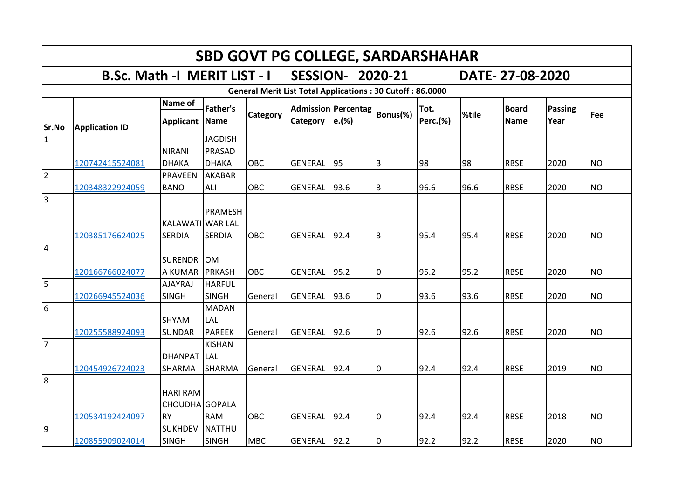|                | <b>SBD GOVT PG COLLEGE, SARDARSHAHAR</b> |                                                |                                          |                 |                                                                  |                              |          |                         |       |                             |                        |           |  |  |  |
|----------------|------------------------------------------|------------------------------------------------|------------------------------------------|-----------------|------------------------------------------------------------------|------------------------------|----------|-------------------------|-------|-----------------------------|------------------------|-----------|--|--|--|
|                | <b>B.Sc. Math -I MERIT LIST - I</b>      |                                                |                                          |                 |                                                                  | <b>SESSION- 2020-21</b>      |          |                         |       | DATE-27-08-2020             |                        |           |  |  |  |
|                |                                          |                                                |                                          |                 | <b>General Merit List Total Applications: 30 Cutoff: 86.0000</b> |                              |          |                         |       |                             |                        |           |  |  |  |
| Sr.No          | <b>Application ID</b>                    | Name of<br><b>Applicant</b>                    | <b>Father's</b><br>Name                  | <b>Category</b> | <b>Category</b>                                                  | Admission Percentag<br>e.(%) | Bonus(%) | Tot.<br><b>Perc.(%)</b> | %tile | <b>Board</b><br><b>Name</b> | <b>Passing</b><br>Year | Fee       |  |  |  |
| $\overline{1}$ | 120742415524081                          | <b>NIRANI</b><br><b>DHAKA</b>                  | <b>JAGDISH</b><br>PRASAD<br><b>DHAKA</b> | <b>OBC</b>      | <b>GENERAL</b>                                                   | 95                           | 3        | 98                      | 98    | <b>RBSE</b>                 | 2020                   | <b>NO</b> |  |  |  |
| $\overline{2}$ | 120348322924059                          | <b>PRAVEEN</b><br><b>BANO</b>                  | <b>AKABAR</b><br>ALI                     | <b>OBC</b>      | GENERAL                                                          | 93.6                         | 3        | 96.6                    | 96.6  | <b>RBSE</b>                 | 2020                   | <b>NO</b> |  |  |  |
| 3              | 120385176624025                          | KALAWATI WAR LAL<br><b>SERDIA</b>              | PRAMESH<br><b>SERDIA</b>                 | <b>OBC</b>      | <b>GENERAL</b>                                                   | 92.4                         | IЗ       | 95.4                    | 95.4  | <b>RBSE</b>                 | 2020                   | <b>NO</b> |  |  |  |
| 4              | 120166766024077                          | <b>SURENDR</b><br>A KUMAR                      | <b>OM</b><br><b>PRKASH</b>               | <b>OBC</b>      | <b>GENERAL</b>                                                   | 95.2                         | 10       | 95.2                    | 95.2  | <b>RBSE</b>                 | 2020                   | <b>NO</b> |  |  |  |
| 5              | 120266945524036                          | <b>AJAYRAJ</b><br><b>SINGH</b>                 | <b>HARFUL</b><br><b>SINGH</b>            | General         | GENERAL                                                          | 93.6                         | 10       | 93.6                    | 93.6  | <b>RBSE</b>                 | 2020                   | <b>NO</b> |  |  |  |
| 6              | 120255588924093                          | <b>SHYAM</b><br><b>SUNDAR</b>                  | <b>MADAN</b><br>LAL<br><b>PAREEK</b>     | General         | <b>GENERAL</b>                                                   | 92.6                         | 10       | 92.6                    | 92.6  | <b>RBSE</b>                 | 2020                   | <b>NO</b> |  |  |  |
| 17             | 120454926724023                          | <b>DHANPAT</b><br>SHARMA                       | <b>KISHAN</b><br><b>LAL</b><br>SHARMA    | General         | <b>GENERAL</b>                                                   | 92.4                         | Iо       | 92.4                    | 92.4  | <b>RBSE</b>                 | 2019                   | <b>NO</b> |  |  |  |
| 8              | 120534192424097                          | <b>HARI RAM</b><br>CHOUDHA GOPALA<br><b>RY</b> | <b>RAM</b>                               | OBC             | <b>GENERAL</b>                                                   | 92.4                         | 10       | 92.4                    | 92.4  | <b>RBSE</b>                 | 2018                   | <b>NO</b> |  |  |  |
| 9              | 120855909024014                          | <b>SUKHDEV</b><br><b>SINGH</b>                 | <b>NATTHU</b><br><b>SINGH</b>            | <b>MBC</b>      | <b>GENERAL</b>                                                   | 92.2                         | 0        | 92.2                    | 92.2  | <b>RBSE</b>                 | 2020                   | <b>NO</b> |  |  |  |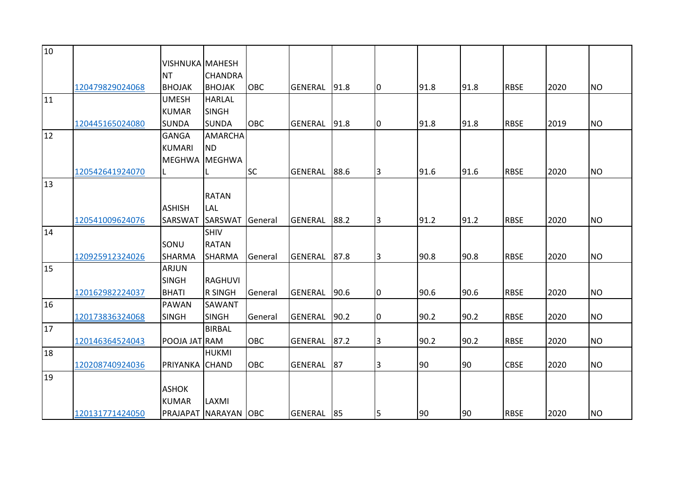| 10 |                 |                        |                      |            |                |      |    |      |      |             |      |           |
|----|-----------------|------------------------|----------------------|------------|----------------|------|----|------|------|-------------|------|-----------|
|    |                 | <b>VISHNUKA MAHESH</b> |                      |            |                |      |    |      |      |             |      |           |
|    |                 | <b>NT</b>              | <b>CHANDRA</b>       |            |                |      |    |      |      |             |      |           |
|    | 120479829024068 | <b>BHOJAK</b>          | <b>BHOJAK</b>        | <b>OBC</b> | <b>GENERAL</b> | 91.8 | I0 | 91.8 | 91.8 | <b>RBSE</b> | 2020 | <b>NO</b> |
| 11 |                 | <b>UMESH</b>           | <b>HARLAL</b>        |            |                |      |    |      |      |             |      |           |
|    |                 | <b>KUMAR</b>           | <b>SINGH</b>         |            |                |      |    |      |      |             |      |           |
|    | 120445165024080 | <b>SUNDA</b>           | <b>SUNDA</b>         | OBC        | <b>GENERAL</b> | 91.8 | 10 | 91.8 | 91.8 | <b>RBSE</b> | 2019 | <b>NO</b> |
| 12 |                 | <b>GANGA</b>           | <b>AMARCHA</b>       |            |                |      |    |      |      |             |      |           |
|    |                 | <b>KUMARI</b>          | <b>ND</b>            |            |                |      |    |      |      |             |      |           |
|    |                 | <b>MEGHWA</b>          | MEGHWA               |            |                |      |    |      |      |             |      |           |
|    | 120542641924070 |                        |                      | <b>SC</b>  | <b>GENERAL</b> | 88.6 | 3  | 91.6 | 91.6 | <b>RBSE</b> | 2020 | <b>NO</b> |
| 13 |                 |                        |                      |            |                |      |    |      |      |             |      |           |
|    |                 |                        | <b>RATAN</b>         |            |                |      |    |      |      |             |      |           |
|    |                 | <b>ASHISH</b>          | LAL                  |            |                |      |    |      |      |             |      |           |
|    | 120541009624076 | SARSWAT                | <b>SARSWAT</b>       | General    | GENERAL        | 88.2 | 3  | 91.2 | 91.2 | <b>RBSE</b> | 2020 | <b>NO</b> |
| 14 |                 |                        | SHIV                 |            |                |      |    |      |      |             |      |           |
|    |                 | SONU                   | <b>RATAN</b>         |            |                |      |    |      |      |             |      |           |
|    | 120925912324026 | <b>SHARMA</b>          | <b>SHARMA</b>        | General    | <b>GENERAL</b> | 87.8 | 3  | 90.8 | 90.8 | <b>RBSE</b> | 2020 | <b>NO</b> |
| 15 |                 | <b>ARJUN</b>           |                      |            |                |      |    |      |      |             |      |           |
|    |                 | <b>SINGH</b>           | <b>RAGHUVI</b>       |            |                |      |    |      |      |             |      |           |
|    | 120162982224037 | <b>BHATI</b>           | <b>R SINGH</b>       | General    | <b>GENERAL</b> | 90.6 | 0  | 90.6 | 90.6 | <b>RBSE</b> | 2020 | <b>NO</b> |
| 16 |                 | PAWAN                  | SAWANT               |            |                |      |    |      |      |             |      |           |
|    | 120173836324068 | <b>SINGH</b>           | <b>SINGH</b>         | General    | <b>GENERAL</b> | 90.2 | 0  | 90.2 | 90.2 | <b>RBSE</b> | 2020 | <b>NO</b> |
| 17 |                 |                        | <b>BIRBAL</b>        |            |                |      |    |      |      |             |      |           |
|    | 120146364524043 | POOJA JAT RAM          |                      | OBC        | GENERAL        | 87.2 | l3 | 90.2 | 90.2 | <b>RBSE</b> | 2020 | <b>NO</b> |
| 18 |                 |                        | <b>HUKMI</b>         |            |                |      |    |      |      |             |      |           |
|    | 120208740924036 | PRIYANKA CHAND         |                      | OBC        | <b>GENERAL</b> | 87   | 3  | 90   | 90   | <b>CBSE</b> | 2020 | <b>NO</b> |
| 19 |                 |                        |                      |            |                |      |    |      |      |             |      |           |
|    |                 | <b>ASHOK</b>           |                      |            |                |      |    |      |      |             |      |           |
|    |                 | <b>KUMAR</b>           | LAXMI                |            |                |      |    |      |      |             |      |           |
|    | 120131771424050 |                        | PRAJAPAT NARAYAN OBC |            | GENERAL        | 85   | 5  | 90   | 90   | <b>RBSE</b> | 2020 | <b>NO</b> |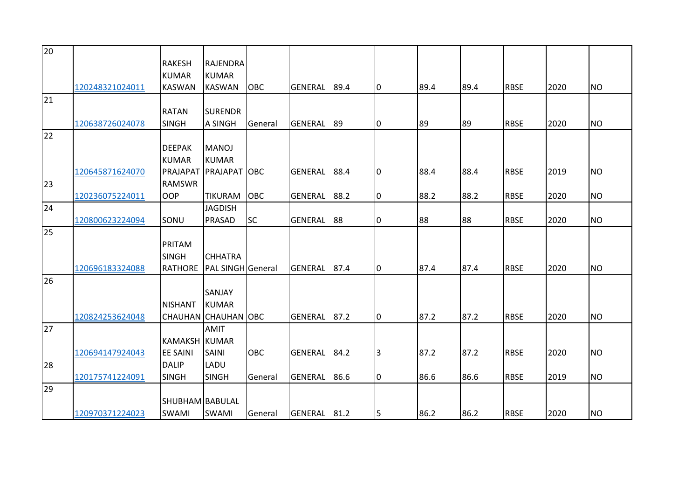| 20 |                 |                      |                          |            |                |      |                |      |      |             |      |           |
|----|-----------------|----------------------|--------------------------|------------|----------------|------|----------------|------|------|-------------|------|-----------|
|    |                 | <b>RAKESH</b>        | <b>RAJENDRA</b>          |            |                |      |                |      |      |             |      |           |
|    |                 | <b>KUMAR</b>         | <b>KUMAR</b>             |            |                |      |                |      |      |             |      |           |
|    | 120248321024011 | <b>KASWAN</b>        | <b>KASWAN</b>            | <b>OBC</b> | <b>GENERAL</b> | 89.4 | 10             | 89.4 | 89.4 | <b>RBSE</b> | 2020 | <b>NO</b> |
| 21 |                 |                      |                          |            |                |      |                |      |      |             |      |           |
|    |                 | <b>RATAN</b>         | <b>SURENDR</b>           |            |                |      |                |      |      |             |      |           |
|    | 120638726024078 | <b>SINGH</b>         | A SINGH                  | General    | <b>GENERAL</b> | 89   | 0              | 89   | 89   | <b>RBSE</b> | 2020 | <b>NO</b> |
| 22 |                 |                      |                          |            |                |      |                |      |      |             |      |           |
|    |                 | <b>DEEPAK</b>        | <b>MANOJ</b>             |            |                |      |                |      |      |             |      |           |
|    |                 | <b>KUMAR</b>         | <b>KUMAR</b>             |            |                |      |                |      |      |             |      |           |
|    | 120645871624070 | PRAJAPAT             | <b>PRAJAPAT OBC</b>      |            | <b>GENERAL</b> | 88.4 | 0              | 88.4 | 88.4 | <b>RBSE</b> | 2019 | <b>NO</b> |
| 23 |                 | <b>RAMSWR</b>        |                          |            |                |      |                |      |      |             |      |           |
|    | 120236075224011 | <b>OOP</b>           | <b>TIKURAM</b>           | <b>OBC</b> | <b>GENERAL</b> | 88.2 | 0              | 88.2 | 88.2 | <b>RBSE</b> | 2020 | <b>NO</b> |
| 24 |                 |                      | <b>JAGDISH</b>           |            |                |      |                |      |      |             |      |           |
|    | 120800623224094 | SONU                 | PRASAD                   | <b>SC</b>  | <b>GENERAL</b> | 88   | 0              | 88   | 88   | <b>RBSE</b> | 2020 | <b>NO</b> |
| 25 |                 |                      |                          |            |                |      |                |      |      |             |      |           |
|    |                 | PRITAM               |                          |            |                |      |                |      |      |             |      |           |
|    |                 | <b>SINGH</b>         | <b>CHHATRA</b>           |            |                |      |                |      |      |             |      |           |
|    | 120696183324088 | <b>RATHORE</b>       | <b>PAL SINGH</b> General |            | <b>GENERAL</b> | 87.4 | 10             | 87.4 | 87.4 | <b>RBSE</b> | 2020 | <b>NO</b> |
| 26 |                 |                      |                          |            |                |      |                |      |      |             |      |           |
|    |                 |                      | <b>SANJAY</b>            |            |                |      |                |      |      |             |      |           |
|    |                 | <b>NISHANT</b>       | <b>KUMAR</b>             |            |                |      |                |      |      |             |      |           |
|    | 120824253624048 |                      | CHAUHAN CHAUHAN OBC      |            | <b>GENERAL</b> | 87.2 | 0              | 87.2 | 87.2 | <b>RBSE</b> | 2020 | <b>NO</b> |
| 27 |                 |                      | <b>AMIT</b>              |            |                |      |                |      |      |             |      |           |
|    |                 | <b>KAMAKSH KUMAR</b> |                          |            |                |      |                |      |      |             |      |           |
|    | 120694147924043 | <b>EE SAINI</b>      | <b>SAINI</b>             | <b>OBC</b> | <b>GENERAL</b> | 84.2 | $\overline{3}$ | 87.2 | 87.2 | <b>RBSE</b> | 2020 | <b>NO</b> |
| 28 |                 | <b>DALIP</b>         | LADU                     |            |                |      |                |      |      |             |      |           |
|    | 120175741224091 | <b>SINGH</b>         | <b>SINGH</b>             | General    | <b>GENERAL</b> | 86.6 | 0              | 86.6 | 86.6 | <b>RBSE</b> | 2019 | <b>NO</b> |
| 29 |                 |                      |                          |            |                |      |                |      |      |             |      |           |
|    |                 | SHUBHAM BABULAL      |                          |            |                |      |                |      |      |             |      |           |
|    | 120970371224023 | <b>SWAMI</b>         | <b>SWAMI</b>             | General    | GENERAL 81.2   |      | 5              | 86.2 | 86.2 | <b>RBSE</b> | 2020 | <b>NO</b> |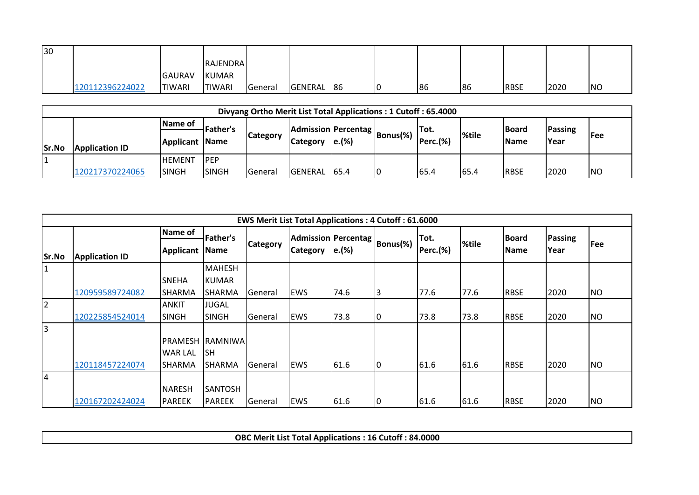| 30 |                 |                |                 |         |         |    |     |    |             |      |           |
|----|-----------------|----------------|-----------------|---------|---------|----|-----|----|-------------|------|-----------|
|    |                 |                | <b>RAJENDRA</b> |         |         |    |     |    |             |      |           |
|    |                 | <b>GAURAV</b>  | KUMAR           |         |         |    |     |    |             |      |           |
|    | 120112396224022 | <b>ITIWARI</b> | <b>TIWARI</b>   | General | GENERAL | 86 | 186 | 86 | <b>RBSE</b> | 2020 | <b>NO</b> |

|       |                       |                 |                 | Divyang Ortho Merit List Total Applications: 1 Cutoff: 65.4000 |                 |       |                                      |          |              |              |             |           |
|-------|-----------------------|-----------------|-----------------|----------------------------------------------------------------|-----------------|-------|--------------------------------------|----------|--------------|--------------|-------------|-----------|
|       |                       | <b>IName of</b> | <b>Father's</b> |                                                                |                 |       |                                      |          |              | <b>Board</b> | Passing     |           |
| Sr.No | <b>Application ID</b> | Applicant Name  |                 | <b>Category</b>                                                | <b>Category</b> | e.(%) | Admission Percentag   Bonus(%)   ' ~ | Perc.(%) | <b>%tile</b> | <b>Name</b>  | <b>Year</b> | l Fee     |
|       |                       | IHEMENT         | <b>PEP</b>      |                                                                |                 |       |                                      |          |              |              |             |           |
|       | 120217370224065       | <b>ISINGH</b>   | <b>SINGH</b>    | <b>General</b>                                                 | <b>GENERAL</b>  | 65.4  | IO                                   | 65.4     | 65.4         | <b>RBSE</b>  | 2020        | <b>NO</b> |

|                |                       |                                             |                                       |                 | <b>EWS Merit List Total Applications: 4 Cutoff: 61.6000</b> |       |          |          |       |              |                |           |
|----------------|-----------------------|---------------------------------------------|---------------------------------------|-----------------|-------------------------------------------------------------|-------|----------|----------|-------|--------------|----------------|-----------|
|                |                       | Name of                                     | <b>Father's</b>                       |                 | Admission Percentag                                         |       |          | Tot.     |       | <b>Board</b> | <b>Passing</b> |           |
| Sr.No          | <b>Application ID</b> | Applicant                                   | <b>Name</b>                           | <b>Category</b> | <b>Category</b>                                             | e.(%) | Bonus(%) | Perc.(%) | %tile | <b>Name</b>  | Year           | Fee       |
| 1              |                       |                                             | <b>MAHESH</b>                         |                 |                                                             |       |          |          |       |              |                |           |
|                |                       | <b>SNEHA</b>                                | <b>KUMAR</b>                          |                 |                                                             |       |          |          |       |              |                |           |
|                | 120959589724082       | ISHARMA                                     | SHARMA                                | General         | <b>EWS</b>                                                  | 74.6  | 3        | 77.6     | 77.6  | <b>RBSE</b>  | 2020           | <b>NO</b> |
| $\overline{2}$ |                       | <b>ANKIT</b>                                | <b>JUGAL</b>                          |                 |                                                             |       |          |          |       |              |                |           |
|                | 120225854524014       | <b>SINGH</b>                                | <b>SINGH</b>                          | General         | <b>EWS</b>                                                  | 73.8  | 10       | 73.8     | 73.8  | <b>RBSE</b>  | 2020           | <b>NO</b> |
| $\overline{3}$ | 120118457224074       | <b>PRAMESH</b><br><b>WAR LAL</b><br>ISHARMA | <b>RAMNIWA</b><br><b>SH</b><br>SHARMA | General         | <b>EWS</b>                                                  | 61.6  | l0       | 61.6     | 61.6  | <b>RBSE</b>  | 2020           | <b>NO</b> |
| 4              | 120167202424024       | <b>NARESH</b><br>PAREEK                     | SANTOSH<br><b>PAREEK</b>              | General         | <b>EWS</b>                                                  | 61.6  | IO       | 61.6     | 61.6  | <b>RBSE</b>  | 2020           | <b>NO</b> |

**OBC Merit List Total Applications : 16 Cutoff : 84.0000**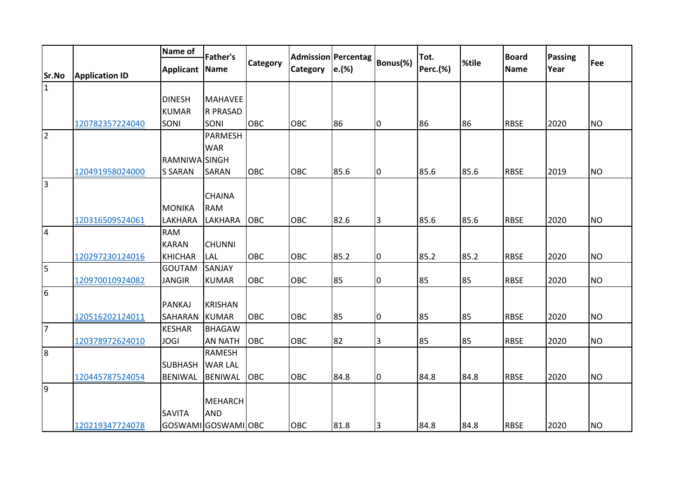|                |                       | Name of          | <b>Father's</b>     |                 |                 | Admission Percentag |                | Tot.     |       | <b>Board</b> |                        |           |
|----------------|-----------------------|------------------|---------------------|-----------------|-----------------|---------------------|----------------|----------|-------|--------------|------------------------|-----------|
|                |                       | <b>Applicant</b> | <b>Name</b>         | <b>Category</b> | <b>Category</b> | e.(%)               | Bonus(%)       | Perc.(%) | %tile | <b>Name</b>  | <b>Passing</b><br>Year | Fee       |
| Sr.No          | <b>Application ID</b> |                  |                     |                 |                 |                     |                |          |       |              |                        |           |
| $\mathbf 1$    |                       |                  |                     |                 |                 |                     |                |          |       |              |                        |           |
|                |                       | <b>DINESH</b>    | <b>MAHAVEE</b>      |                 |                 |                     |                |          |       |              |                        |           |
|                |                       | <b>KUMAR</b>     | <b>R PRASAD</b>     |                 |                 |                     |                |          |       |              |                        |           |
|                | 120782357224040       | SONI             | SONI                | <b>OBC</b>      | OBC             | 86                  | 0              | 86       | 86    | <b>RBSE</b>  | 2020                   | <b>NO</b> |
| $\vert$ 2      |                       |                  | <b>PARMESH</b>      |                 |                 |                     |                |          |       |              |                        |           |
|                |                       |                  | <b>WAR</b>          |                 |                 |                     |                |          |       |              |                        |           |
|                |                       | RAMNIWA SINGH    |                     |                 |                 |                     |                |          |       |              |                        |           |
|                | 120491958024000       | <b>S SARAN</b>   | <b>SARAN</b>        | OBC             | OBC             | 85.6                | l0             | 85.6     | 85.6  | <b>RBSE</b>  | 2019                   | <b>NO</b> |
| $\vert$ 3      |                       |                  |                     |                 |                 |                     |                |          |       |              |                        |           |
|                |                       |                  | <b>CHAINA</b>       |                 |                 |                     |                |          |       |              |                        |           |
|                |                       | <b>MONIKA</b>    | <b>RAM</b>          |                 |                 |                     |                |          |       |              |                        |           |
|                | 120316509524061       | LAKHARA          | LAKHARA             | <b>OBC</b>      | OBC             | 82.6                | 3              | 85.6     | 85.6  | <b>RBSE</b>  | 2020                   | <b>NO</b> |
| $\overline{4}$ |                       | <b>RAM</b>       |                     |                 |                 |                     |                |          |       |              |                        |           |
|                |                       | <b>KARAN</b>     | <b>CHUNNI</b>       |                 |                 |                     |                |          |       |              |                        |           |
|                | 120297230124016       | <b>KHICHAR</b>   | LAL                 | <b>OBC</b>      | <b>OBC</b>      | 85.2                | l0             | 85.2     | 85.2  | <b>RBSE</b>  | 2020                   | <b>NO</b> |
| 5              |                       | <b>GOUTAM</b>    | SANJAY              |                 |                 |                     |                |          |       |              |                        |           |
|                | 120970010924082       | <b>JANGIR</b>    | <b>KUMAR</b>        | OBC             | OBC             | 85                  | 0              | 85       | 85    | <b>RBSE</b>  | 2020                   | <b>NO</b> |
| 6              |                       |                  |                     |                 |                 |                     |                |          |       |              |                        |           |
|                |                       | <b>PANKAJ</b>    | <b>KRISHAN</b>      |                 |                 |                     |                |          |       |              |                        |           |
|                | 120516202124011       | SAHARAN          | <b>KUMAR</b>        | <b>OBC</b>      | OBC             | 85                  | 0              | 85       | 85    | <b>RBSE</b>  | 2020                   | <b>NO</b> |
| $\overline{7}$ |                       | <b>KESHAR</b>    | <b>BHAGAW</b>       |                 |                 |                     |                |          |       |              |                        |           |
|                | 120378972624010       | <b>JOGI</b>      | <b>AN NATH</b>      | <b>OBC</b>      | OBC             | 82                  | IЗ             | 85       | 85    | <b>RBSE</b>  | 2020                   | <b>NO</b> |
| 8              |                       |                  | <b>RAMESH</b>       |                 |                 |                     |                |          |       |              |                        |           |
|                |                       | <b>SUBHASH</b>   | <b>WAR LAL</b>      |                 |                 |                     |                |          |       |              |                        |           |
|                | 120445787524054       | <b>BENIWAL</b>   | <b>BENIWAL</b>      | OBC             | OBC             | 84.8                | 0              | 84.8     | 84.8  | <b>RBSE</b>  | 2020                   | <b>NO</b> |
| 9              |                       |                  |                     |                 |                 |                     |                |          |       |              |                        |           |
|                |                       |                  | <b>MEHARCH</b>      |                 |                 |                     |                |          |       |              |                        |           |
|                |                       | <b>SAVITA</b>    | <b>AND</b>          |                 |                 |                     |                |          |       |              |                        |           |
|                | 120219347724078       |                  | GOSWAMI GOSWAMI OBC |                 | OBC             | 81.8                | $\overline{3}$ | 84.8     | 84.8  | <b>RBSE</b>  | 2020                   | <b>NO</b> |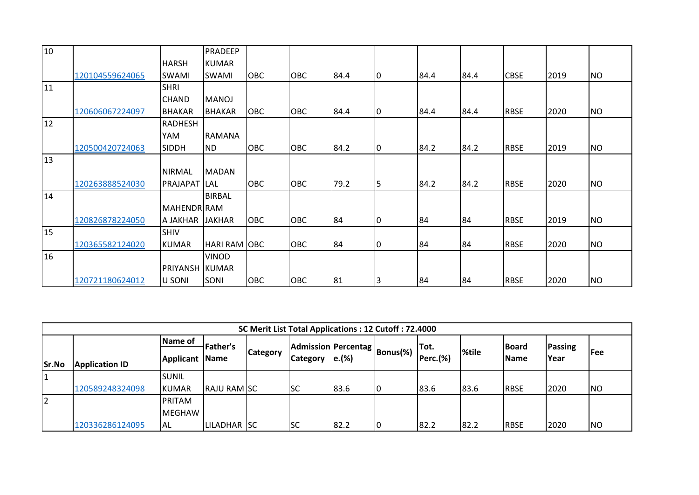| 10 |                 |                    | PRADEEP       |            |            |      |             |      |      |             |      |           |
|----|-----------------|--------------------|---------------|------------|------------|------|-------------|------|------|-------------|------|-----------|
|    |                 | <b>HARSH</b>       | <b>KUMAR</b>  |            |            |      |             |      |      |             |      |           |
|    | 120104559624065 | <b>SWAMI</b>       | SWAMI         | <b>OBC</b> | OBC        | 84.4 | $ 0\rangle$ | 84.4 | 84.4 | <b>CBSE</b> | 2019 | <b>NO</b> |
| 11 |                 | <b>SHRI</b>        |               |            |            |      |             |      |      |             |      |           |
|    |                 | <b>CHAND</b>       | <b>MANOJ</b>  |            |            |      |             |      |      |             |      |           |
|    | 120606067224097 | <b>BHAKAR</b>      | <b>BHAKAR</b> | <b>OBC</b> | <b>OBC</b> | 84.4 | $ 0\rangle$ | 84.4 | 84.4 | <b>RBSE</b> | 2020 | <b>NO</b> |
| 12 |                 | <b>RADHESH</b>     |               |            |            |      |             |      |      |             |      |           |
|    |                 | YAM                | <b>RAMANA</b> |            |            |      |             |      |      |             |      |           |
|    | 120500420724063 | <b>SIDDH</b>       | <b>ND</b>     | <b>OBC</b> | OBC        | 84.2 | 10          | 84.2 | 84.2 | <b>RBSE</b> | 2019 | <b>NO</b> |
| 13 |                 |                    |               |            |            |      |             |      |      |             |      |           |
|    |                 | <b>NIRMAL</b>      | <b>MADAN</b>  |            |            |      |             |      |      |             |      |           |
|    | 120263888524030 | PRAJAPAT           | LAL           | <b>OBC</b> | <b>OBC</b> | 79.2 | 5           | 84.2 | 84.2 | <b>RBSE</b> | 2020 | <b>NO</b> |
| 14 |                 |                    | <b>BIRBAL</b> |            |            |      |             |      |      |             |      |           |
|    |                 | <b>MAHENDR RAM</b> |               |            |            |      |             |      |      |             |      |           |
|    | 120826878224050 | A JAKHAR           | <b>JAKHAR</b> | <b>OBC</b> | <b>OBC</b> | 84   | 10          | 84   | 84   | <b>RBSE</b> | 2019 | <b>NO</b> |
| 15 |                 | <b>SHIV</b>        |               |            |            |      |             |      |      |             |      |           |
|    | 120365582124020 | <b>KUMAR</b>       | HARI RAM OBC  |            | OBC        | 84   | $ 0\rangle$ | 84   | 84   | <b>RBSE</b> | 2020 | <b>NO</b> |
| 16 |                 |                    | <b>VINOD</b>  |            |            |      |             |      |      |             |      |           |
|    |                 | PRIYANSH           | <b>KUMAR</b>  |            |            |      |             |      |      |             |      |           |
|    | 120721180624012 | U SONI             | SONI          | OBC        | OBC        | 81   | 3           | 84   | 84   | <b>RBSE</b> | 2020 | <b>NO</b> |

|                |                       |                       |                    |                 | SC Merit List Total Applications : 12 Cutoff : 72.4000 |       |    |          |       |              |                        |            |
|----------------|-----------------------|-----------------------|--------------------|-----------------|--------------------------------------------------------|-------|----|----------|-------|--------------|------------------------|------------|
|                |                       | Name of               | <b>Father's</b>    |                 |                                                        |       |    | lTot.    |       | <b>Board</b> |                        |            |
|                |                       | <b>Applicant Name</b> |                    | <b>Category</b> | <b>IAdmission Percentag Bonus(%)</b>   ' ''            |       |    | Perc.(%) | %tile | <b>Name</b>  | <b>Passing</b><br>Year | <b>Fee</b> |
| Sr.No          | <b>Application ID</b> |                       |                    |                 | <b>Category</b>                                        | e.(%) |    |          |       |              |                        |            |
|                |                       | <b>ISUNIL</b>         |                    |                 |                                                        |       |    |          |       |              |                        |            |
|                | 120589248324098       | KUMAR                 | <b>RAJU RAM SC</b> |                 | <b>SC</b>                                              | 83.6  | 10 | 83.6     | 83.6  | <b>RBSE</b>  | 2020                   | <b>NO</b>  |
| $\overline{2}$ |                       | <b>PRITAM</b>         |                    |                 |                                                        |       |    |          |       |              |                        |            |
|                |                       | <b>MEGHAW</b>         |                    |                 |                                                        |       |    |          |       |              |                        |            |
|                | 120336286124095       | IAL                   | LILADHAR SC        |                 | <b>SC</b>                                              | 82.2  | 10 | 82.2     | 82.2  | <b>RBSE</b>  | 2020                   | <b>NO</b>  |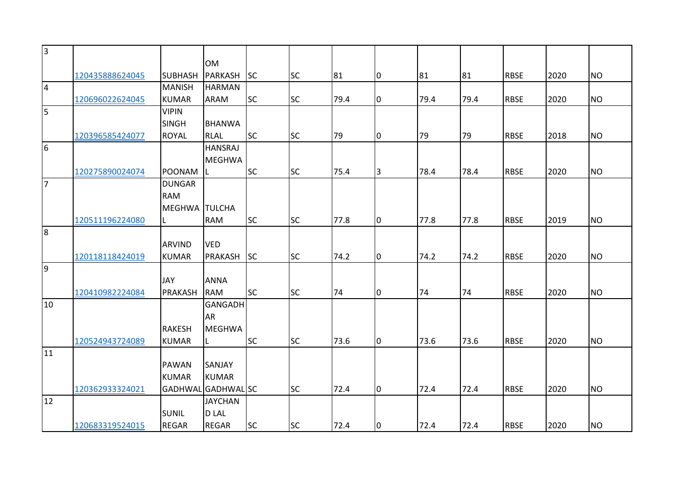| $\overline{3}$ |                 |                |                    |           |           |      |                |      |      |             |      |           |
|----------------|-----------------|----------------|--------------------|-----------|-----------|------|----------------|------|------|-------------|------|-----------|
|                |                 |                | <b>OM</b>          |           |           |      |                |      |      |             |      |           |
|                | 120435888624045 | <b>SUBHASH</b> | <b>PARKASH</b>     | <b>SC</b> | <b>SC</b> | 81   | 0              | 81   | 81   | <b>RBSE</b> | 2020 | <b>NO</b> |
| $\overline{4}$ |                 | <b>MANISH</b>  | <b>HARMAN</b>      |           |           |      |                |      |      |             |      |           |
|                | 120696022624045 | <b>KUMAR</b>   | ARAM               | <b>SC</b> | <b>SC</b> | 79.4 | 0              | 79.4 | 79.4 | <b>RBSE</b> | 2020 | <b>NO</b> |
| 5              |                 | <b>VIPIN</b>   |                    |           |           |      |                |      |      |             |      |           |
|                |                 | <b>SINGH</b>   | <b>BHANWA</b>      |           |           |      |                |      |      |             |      |           |
|                | 120396585424077 | <b>ROYAL</b>   | <b>RLAL</b>        | <b>SC</b> | <b>SC</b> | 79   | 10             | 79   | 79   | <b>RBSE</b> | 2018 | <b>NO</b> |
| 6              |                 |                | <b>HANSRAJ</b>     |           |           |      |                |      |      |             |      |           |
|                |                 |                | <b>MEGHWA</b>      |           |           |      |                |      |      |             |      |           |
|                | 120275890024074 | <b>POONAM</b>  |                    | <b>SC</b> | <b>SC</b> | 75.4 | 3              | 78.4 | 78.4 | <b>RBSE</b> | 2020 | <b>NO</b> |
| $\overline{7}$ |                 | <b>DUNGAR</b>  |                    |           |           |      |                |      |      |             |      |           |
|                |                 | <b>RAM</b>     |                    |           |           |      |                |      |      |             |      |           |
|                |                 | <b>MEGHWA</b>  | <b>TULCHA</b>      |           |           |      |                |      |      |             |      |           |
|                | 120511196224080 | L              | <b>RAM</b>         | <b>SC</b> | <b>SC</b> | 77.8 | $\overline{0}$ | 77.8 | 77.8 | <b>RBSE</b> | 2019 | <b>NO</b> |
| $\overline{8}$ |                 |                |                    |           |           |      |                |      |      |             |      |           |
|                |                 | <b>ARVIND</b>  | <b>VED</b>         |           |           |      |                |      |      |             |      |           |
|                | 120118118424019 | <b>KUMAR</b>   | <b>PRAKASH</b>     | <b>SC</b> | <b>SC</b> | 74.2 | $\overline{0}$ | 74.2 | 74.2 | <b>RBSE</b> | 2020 | <b>NO</b> |
| $\overline{9}$ |                 |                |                    |           |           |      |                |      |      |             |      |           |
|                |                 | <b>JAY</b>     | <b>ANNA</b>        |           |           |      |                |      |      |             |      |           |
|                | 120410982224084 | PRAKASH        | <b>RAM</b>         | <b>SC</b> | <b>SC</b> | 74   | Iо             | 74   | 74   | <b>RBSE</b> | 2020 | <b>NO</b> |
| 10             |                 |                | GANGADH            |           |           |      |                |      |      |             |      |           |
|                |                 |                | <b>AR</b>          |           |           |      |                |      |      |             |      |           |
|                |                 | <b>RAKESH</b>  | <b>MEGHWA</b>      |           |           |      |                |      |      |             |      |           |
|                | 120524943724089 | <b>KUMAR</b>   |                    | <b>SC</b> | <b>SC</b> | 73.6 | $\overline{0}$ | 73.6 | 73.6 | <b>RBSE</b> | 2020 | <b>NO</b> |
| 11             |                 |                |                    |           |           |      |                |      |      |             |      |           |
|                |                 | <b>PAWAN</b>   | SANJAY             |           |           |      |                |      |      |             |      |           |
|                |                 | <b>KUMAR</b>   | <b>KUMAR</b>       |           |           |      |                |      |      |             |      |           |
|                | 120362933324021 |                | GADHWAL GADHWAL SC |           | <b>SC</b> | 72.4 | $\overline{0}$ | 72.4 | 72.4 | <b>RBSE</b> | 2020 | <b>NO</b> |
| 12             |                 |                | <b>JAYCHAN</b>     |           |           |      |                |      |      |             |      |           |
|                |                 | <b>SUNIL</b>   | <b>DLAL</b>        |           |           |      |                |      |      |             |      |           |
|                | 120683319524015 | <b>REGAR</b>   | <b>REGAR</b>       | <b>SC</b> | <b>SC</b> | 72.4 | Iо             | 72.4 | 72.4 | <b>RBSE</b> | 2020 | <b>NO</b> |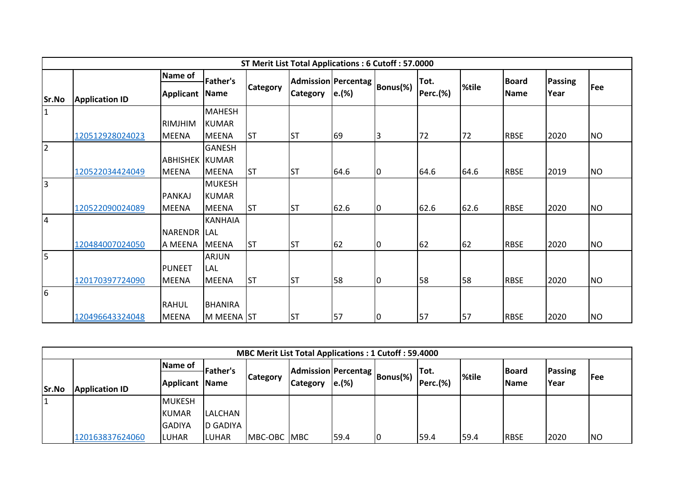|                |                       |                       |                |                 | ST Merit List Total Applications: 6 Cutoff: 57.0000 |                   |          |                 |       |              |                |           |
|----------------|-----------------------|-----------------------|----------------|-----------------|-----------------------------------------------------|-------------------|----------|-----------------|-------|--------------|----------------|-----------|
|                |                       | <b>Name of</b>        | Father's       |                 | Admission Percentag                                 |                   |          | Tot.            |       | <b>Board</b> | <b>Passing</b> |           |
|                |                       | <b>Applicant Name</b> |                | <b>Category</b> | <b>Category</b>                                     | $\mathsf{e}.(\%)$ | Bonus(%) | <b>Perc.(%)</b> | %tile | Name         | Year           | Fee       |
| Sr.No          | <b>Application ID</b> |                       |                |                 |                                                     |                   |          |                 |       |              |                |           |
| $\mathbf{1}$   |                       |                       | <b>MAHESH</b>  |                 |                                                     |                   |          |                 |       |              |                |           |
|                |                       | RIMJHIM               | <b>KUMAR</b>   |                 |                                                     |                   |          |                 |       |              |                |           |
|                | 120512928024023       | <b>MEENA</b>          | <b>MEENA</b>   | IST             | <b>ST</b>                                           | 69                | 3        | 72              | 72    | <b>RBSE</b>  | 2020           | <b>NO</b> |
| $\overline{2}$ |                       |                       | <b>GANESH</b>  |                 |                                                     |                   |          |                 |       |              |                |           |
|                |                       | <b>ABHISHEK KUMAR</b> |                |                 |                                                     |                   |          |                 |       |              |                |           |
|                | 120522034424049       | <b>MEENA</b>          | <b>MEENA</b>   | IST             | <b>ST</b>                                           | 64.6              | l0       | 64.6            | 64.6  | <b>RBSE</b>  | 2019           | <b>NO</b> |
| 3              |                       |                       | <b>MUKESH</b>  |                 |                                                     |                   |          |                 |       |              |                |           |
|                |                       | <b>PANKAJ</b>         | <b>KUMAR</b>   |                 |                                                     |                   |          |                 |       |              |                |           |
|                | 120522090024089       | <b>MEENA</b>          | <b>MEENA</b>   | <b>ST</b>       | <b>ST</b>                                           | 62.6              | 0        | 62.6            | 62.6  | <b>RBSE</b>  | 2020           | <b>NO</b> |
| 4              |                       |                       | <b>KANHAIA</b> |                 |                                                     |                   |          |                 |       |              |                |           |
|                |                       | NARENDR LAL           |                |                 |                                                     |                   |          |                 |       |              |                |           |
|                | 120484007024050       | A MEENA               | <b>MEENA</b>   | <b>ST</b>       | <b>ST</b>                                           | 62                | 0        | 62              | 62    | <b>RBSE</b>  | 2020           | <b>NO</b> |
| 5              |                       |                       | <b>ARJUN</b>   |                 |                                                     |                   |          |                 |       |              |                |           |
|                |                       | <b>PUNEET</b>         | LAL            |                 |                                                     |                   |          |                 |       |              |                |           |
|                | 120170397724090       | <b>MEENA</b>          | <b>MEENA</b>   | <b>ST</b>       | <b>ST</b>                                           | 58                | 0        | 58              | 58    | <b>RBSE</b>  | 2020           | <b>NO</b> |
| 6              |                       |                       |                |                 |                                                     |                   |          |                 |       |              |                |           |
|                |                       | <b>RAHUL</b>          | <b>BHANIRA</b> |                 |                                                     |                   |          |                 |       |              |                |           |
|                | 120496643324048       | <b>MEENA</b>          | M MEENA ST     |                 | <b>ST</b>                                           | 57                | Iо       | 57              | 57    | <b>RBSE</b>  | 2020           | <b>NO</b> |

|       |                       |               |                 | <b>MBC Merit List Total Applications: 1 Cutoff: 59.4000</b> |                 |                                                      |    |          |              |              |         |                |
|-------|-----------------------|---------------|-----------------|-------------------------------------------------------------|-----------------|------------------------------------------------------|----|----------|--------------|--------------|---------|----------------|
|       |                       | Name of       | <b>Father's</b> |                                                             |                 |                                                      |    | Tot.     |              | <b>Board</b> | Passing |                |
|       |                       | Applicant     | <b>Name</b>     | <b>Category</b>                                             | <b>Category</b> | <b>IAdmission Percentag Bonus(%)</b>   ' ''<br>e.(%) |    | Perc.(%) | <b>%tile</b> | <b>Name</b>  | Year    | l Fee          |
| Sr.No | <b>Application ID</b> |               |                 |                                                             |                 |                                                      |    |          |              |              |         |                |
|       |                       | <b>MUKESH</b> |                 |                                                             |                 |                                                      |    |          |              |              |         |                |
|       |                       | <b>KUMAR</b>  | LALCHAN         |                                                             |                 |                                                      |    |          |              |              |         |                |
|       |                       | <b>GADIYA</b> | D GADIYA        |                                                             |                 |                                                      |    |          |              |              |         |                |
|       | 120163837624060       | <b>ILUHAR</b> | LUHAR           | MBC-OBC MBC                                                 |                 | 59.4                                                 | IО | 59.4     | 59.4         | <b>RBSE</b>  | 2020    | N <sub>O</sub> |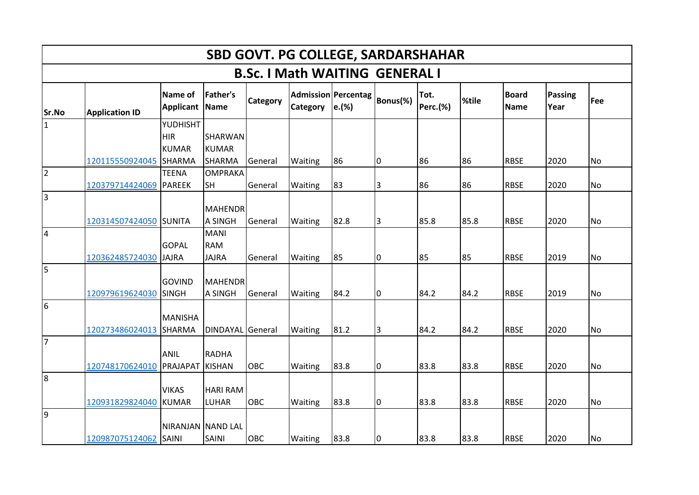|                         | <b>SBD GOVT. PG COLLEGE, SARDARSHAHAR</b> |                               |                                           |                 |                                       |                                                 |                |                         |       |                      |                        |           |  |  |
|-------------------------|-------------------------------------------|-------------------------------|-------------------------------------------|-----------------|---------------------------------------|-------------------------------------------------|----------------|-------------------------|-------|----------------------|------------------------|-----------|--|--|
|                         |                                           |                               |                                           |                 | <b>B.Sc. I Math WAITING GENERAL I</b> |                                                 |                |                         |       |                      |                        |           |  |  |
| Sr.No                   | <b>Application ID</b>                     | Name of<br><b>Applicant</b>   | <b>Father's</b><br>Name                   | <b>Category</b> | <b>Category</b>                       | <b>Admission Percentag</b><br>$\mathbf{e}$ .(%) | Bonus(%)       | Tot.<br><b>Perc.(%)</b> | %tile | <b>Board</b><br>Name | <b>Passing</b><br>Year | Fee       |  |  |
| $\mathbf{1}$            |                                           | YUDHISHT<br><b>HIR</b>        | <b>SHARWAN</b>                            |                 |                                       |                                                 |                |                         |       |                      |                        |           |  |  |
|                         | 120115550924045                           | <b>KUMAR</b><br><b>SHARMA</b> | <b>KUMAR</b><br><b>SHARMA</b>             | General         | Waiting                               | 86                                              | 0              | 86                      | 86    | <b>RBSE</b>          | 2020                   | <b>No</b> |  |  |
| $\overline{2}$          | 120379714424069                           | <b>TEENA</b><br><b>PAREEK</b> | <b>OMPRAKA</b><br><b>SH</b>               | General         | Waiting                               | 83                                              | 3              | 86                      | 86    | <b>RBSE</b>          | 2020                   | No        |  |  |
| $\overline{\mathbf{3}}$ |                                           |                               | <b>MAHENDR</b>                            |                 |                                       |                                                 |                |                         |       |                      |                        |           |  |  |
|                         | 120314507424050 SUNITA                    |                               | <b>A SINGH</b>                            | General         | Waiting                               | 82.8                                            | $\overline{3}$ | 85.8                    | 85.8  | <b>RBSE</b>          | 2020                   | <b>No</b> |  |  |
| $\overline{4}$          | 120362485724030                           | <b>GOPAL</b><br><b>JAJRA</b>  | <b>MANI</b><br><b>RAM</b><br><b>JAJRA</b> | General         | Waiting                               | 85                                              | 0              | 85                      | 85    | <b>RBSE</b>          | 2019                   | <b>No</b> |  |  |
| $\overline{5}$          |                                           |                               |                                           |                 |                                       |                                                 |                |                         |       |                      |                        |           |  |  |
|                         | 120979619624030                           | <b>GOVIND</b><br><b>SINGH</b> | <b>MAHENDR</b><br><b>A SINGH</b>          | General         | Waiting                               | 84.2                                            | I٥             | 84.2                    | 84.2  | <b>RBSE</b>          | 2019                   | <b>No</b> |  |  |
| 6                       |                                           | <b>MANISHA</b>                |                                           |                 |                                       |                                                 |                |                         |       |                      |                        |           |  |  |
|                         | 120273486024013                           | SHARMA                        | DINDAYAL General                          |                 | Waiting                               | 81.2                                            | IЗ             | 84.2                    | 84.2  | <b>RBSE</b>          | 2020                   | <b>No</b> |  |  |
| 7                       | 120748170624010                           | <b>ANIL</b><br>PRAJAPAT       | <b>RADHA</b><br><b>KISHAN</b>             | OBC             | Waiting                               | 83.8                                            | 0              | 83.8                    | 83.8  | <b>RBSE</b>          | 2020                   | <b>No</b> |  |  |
| 8                       |                                           | <b>VIKAS</b>                  | <b>HARI RAM</b>                           |                 |                                       |                                                 |                |                         |       |                      |                        |           |  |  |
|                         | 120931829824040                           | <b>KUMAR</b>                  | <b>LUHAR</b>                              | OBC             | Waiting                               | 83.8                                            | l0             | 83.8                    | 83.8  | <b>RBSE</b>          | 2020                   | <b>No</b> |  |  |
| l9                      | 120987075124062 SAINI                     |                               | NIRANJAN NAND LAL<br>SAINI                | OBC             | Waiting                               | 83.8                                            | 0              | 83.8                    | 83.8  | <b>RBSE</b>          | 2020                   | <b>No</b> |  |  |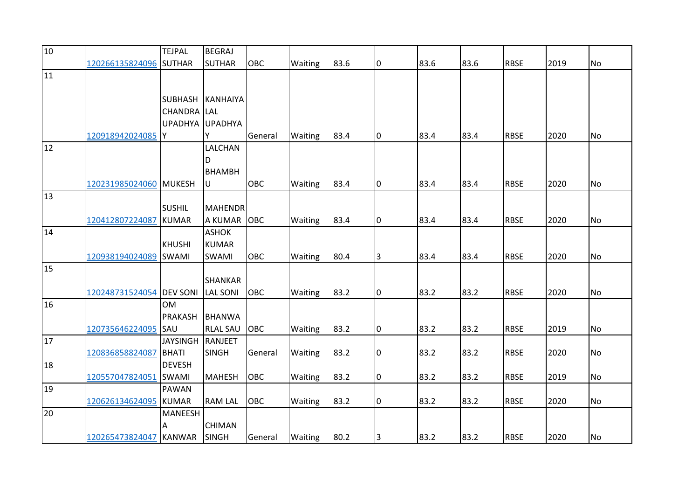| 10 |                          | <b>TEJPAL</b>      | <b>BEGRAJ</b>   |            |         |      |                |      |      |             |      |                |
|----|--------------------------|--------------------|-----------------|------------|---------|------|----------------|------|------|-------------|------|----------------|
|    | 120266135824096 SUTHAR   |                    | <b>SUTHAR</b>   | <b>OBC</b> | Waiting | 83.6 | 0              | 83.6 | 83.6 | <b>RBSE</b> | 2019 | N <sub>o</sub> |
| 11 |                          |                    |                 |            |         |      |                |      |      |             |      |                |
|    |                          |                    |                 |            |         |      |                |      |      |             |      |                |
|    |                          | <b>SUBHASH</b>     | KANHAIYA        |            |         |      |                |      |      |             |      |                |
|    |                          | <b>CHANDRA</b> LAL |                 |            |         |      |                |      |      |             |      |                |
|    |                          |                    | UPADHYA UPADHYA |            |         |      |                |      |      |             |      |                |
|    | 120918942024085 Y        |                    | Υ               | General    | Waiting | 83.4 | 0              | 83.4 | 83.4 | <b>RBSE</b> | 2020 | <b>No</b>      |
| 12 |                          |                    | LALCHAN         |            |         |      |                |      |      |             |      |                |
|    |                          |                    | D               |            |         |      |                |      |      |             |      |                |
|    |                          |                    | <b>BHAMBH</b>   |            |         |      |                |      |      |             |      |                |
|    | 120231985024060 MUKESH   |                    | U               | OBC        | Waiting | 83.4 | 0              | 83.4 | 83.4 | <b>RBSE</b> | 2020 | No             |
| 13 |                          |                    |                 |            |         |      |                |      |      |             |      |                |
|    |                          | <b>SUSHIL</b>      | <b>MAHENDR</b>  |            |         |      |                |      |      |             |      |                |
|    | 120412807224087          | <b>KUMAR</b>       | A KUMAR OBC     |            | Waiting | 83.4 | l0             | 83.4 | 83.4 | <b>RBSE</b> | 2020 | <b>No</b>      |
| 14 |                          |                    | <b>ASHOK</b>    |            |         |      |                |      |      |             |      |                |
|    |                          | <b>KHUSHI</b>      | <b>KUMAR</b>    |            |         |      |                |      |      |             |      |                |
|    | 120938194024089 SWAMI    |                    | SWAMI           | <b>OBC</b> | Waiting | 80.4 | $\overline{3}$ | 83.4 | 83.4 | <b>RBSE</b> | 2020 | <b>No</b>      |
| 15 |                          |                    |                 |            |         |      |                |      |      |             |      |                |
|    |                          |                    | <b>SHANKAR</b>  |            |         |      |                |      |      |             |      |                |
|    | 120248731524054 DEV SONI |                    | <b>LAL SONI</b> | OBC        | Waiting | 83.2 | l0             | 83.2 | 83.2 | <b>RBSE</b> | 2020 | <b>No</b>      |
| 16 |                          | <b>OM</b>          |                 |            |         |      |                |      |      |             |      |                |
|    |                          | <b>PRAKASH</b>     | <b>BHANWA</b>   |            |         |      |                |      |      |             |      |                |
|    | 120735646224095          | SAU                | <b>RLAL SAU</b> | <b>OBC</b> | Waiting | 83.2 | 10             | 83.2 | 83.2 | <b>RBSE</b> | 2019 | <b>No</b>      |
| 17 |                          | <b>JAYSINGH</b>    | RANJEET         |            |         |      |                |      |      |             |      |                |
|    | 120836858824087          | <b>BHATI</b>       | <b>SINGH</b>    | General    | Waiting | 83.2 | 0              | 83.2 | 83.2 | <b>RBSE</b> | 2020 | <b>No</b>      |
| 18 |                          | <b>DEVESH</b>      |                 |            |         |      |                |      |      |             |      |                |
|    | 120557047824051          | <b>SWAMI</b>       | <b>MAHESH</b>   | OBC        | Waiting | 83.2 | O              | 83.2 | 83.2 | <b>RBSE</b> | 2019 | <b>No</b>      |
| 19 |                          | <b>PAWAN</b>       |                 |            |         |      |                |      |      |             |      |                |
|    | 120626134624095 KUMAR    |                    | <b>RAM LAL</b>  | OBC        | Waiting | 83.2 | l0             | 83.2 | 83.2 | <b>RBSE</b> | 2020 | <b>No</b>      |
| 20 |                          | <b>MANEESH</b>     | <b>CHIMAN</b>   |            |         |      |                |      |      |             |      |                |
|    |                          | Α                  |                 |            |         |      |                |      |      |             |      |                |
|    | 120265473824047 KANWAR   |                    | <b>SINGH</b>    | General    | Waiting | 80.2 | 3              | 83.2 | 83.2 | <b>RBSE</b> | 2020 | No             |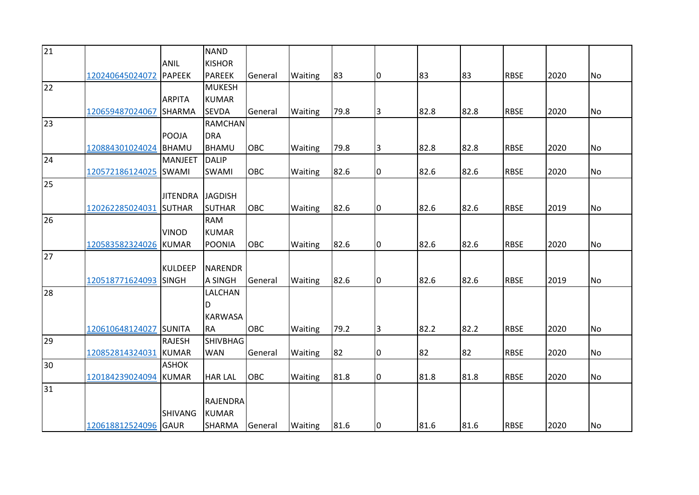| 21 |                        |                 | <b>NAND</b>     |            |                |      |                |      |      |             |      |           |
|----|------------------------|-----------------|-----------------|------------|----------------|------|----------------|------|------|-------------|------|-----------|
|    |                        | <b>ANIL</b>     | <b>KISHOR</b>   |            |                |      |                |      |      |             |      |           |
|    | 120240645024072        | <b>PAPEEK</b>   | <b>PAREEK</b>   | General    | Waiting        | 83   | 0              | 83   | 83   | <b>RBSE</b> | 2020 | <b>No</b> |
| 22 |                        |                 | <b>MUKESH</b>   |            |                |      |                |      |      |             |      |           |
|    |                        | <b>ARPITA</b>   | <b>KUMAR</b>    |            |                |      |                |      |      |             |      |           |
|    | 120659487024067        | <b>SHARMA</b>   | <b>SEVDA</b>    | General    | Waiting        | 79.8 | $\overline{3}$ | 82.8 | 82.8 | <b>RBSE</b> | 2020 | <b>No</b> |
| 23 |                        |                 | <b>RAMCHAN</b>  |            |                |      |                |      |      |             |      |           |
|    |                        | POOJA           | <b>DRA</b>      |            |                |      |                |      |      |             |      |           |
|    | 120884301024024        | BHAMU           | <b>BHAMU</b>    | OBC        | Waiting        | 79.8 | $\overline{3}$ | 82.8 | 82.8 | <b>RBSE</b> | 2020 | No        |
| 24 |                        | <b>MANJEET</b>  | <b>DALIP</b>    |            |                |      |                |      |      |             |      |           |
|    | 120572186124025        | <b>SWAMI</b>    | <b>SWAMI</b>    | <b>OBC</b> | Waiting        | 82.6 | 0              | 82.6 | 82.6 | <b>RBSE</b> | 2020 | <b>No</b> |
| 25 |                        |                 |                 |            |                |      |                |      |      |             |      |           |
|    |                        | <b>JITENDRA</b> | <b>JAGDISH</b>  |            |                |      |                |      |      |             |      |           |
|    | 120262285024031 SUTHAR |                 | <b>SUTHAR</b>   | <b>OBC</b> | Waiting        | 82.6 | 0              | 82.6 | 82.6 | <b>RBSE</b> | 2019 | <b>No</b> |
| 26 |                        |                 | <b>RAM</b>      |            |                |      |                |      |      |             |      |           |
|    |                        | <b>VINOD</b>    | <b>KUMAR</b>    |            |                |      |                |      |      |             |      |           |
|    | 120583582324026 KUMAR  |                 | <b>POONIA</b>   | <b>OBC</b> | Waiting        | 82.6 | 0              | 82.6 | 82.6 | <b>RBSE</b> | 2020 | <b>No</b> |
| 27 |                        |                 |                 |            |                |      |                |      |      |             |      |           |
|    |                        | <b>KULDEEP</b>  | <b>NARENDR</b>  |            |                |      |                |      |      |             |      |           |
|    | 120518771624093        | <b>SINGH</b>    | A SINGH         | General    | Waiting        | 82.6 | 0              | 82.6 | 82.6 | <b>RBSE</b> | 2019 | <b>No</b> |
| 28 |                        |                 | LALCHAN         |            |                |      |                |      |      |             |      |           |
|    |                        |                 | D               |            |                |      |                |      |      |             |      |           |
|    |                        |                 | <b>KARWASA</b>  |            |                |      |                |      |      |             |      |           |
|    | 120610648124027 SUNITA |                 | <b>RA</b>       | OBC        | Waiting        | 79.2 | $\overline{3}$ | 82.2 | 82.2 | <b>RBSE</b> | 2020 | No        |
| 29 |                        | <b>RAJESH</b>   | <b>SHIVBHAG</b> |            |                |      |                |      |      |             |      |           |
|    | 120852814324031 KUMAR  |                 | <b>WAN</b>      | General    | <b>Waiting</b> | 82   | 0              | 82   | 82   | <b>RBSE</b> | 2020 | No        |
| 30 |                        | <b>ASHOK</b>    |                 |            |                |      |                |      |      |             |      |           |
|    | 120184239024094        | <b>KUMAR</b>    | <b>HAR LAL</b>  | <b>OBC</b> | Waiting        | 81.8 | 0              | 81.8 | 81.8 | <b>RBSE</b> | 2020 | No        |
| 31 |                        |                 |                 |            |                |      |                |      |      |             |      |           |
|    |                        |                 | <b>RAJENDRA</b> |            |                |      |                |      |      |             |      |           |
|    |                        | <b>SHIVANG</b>  | <b>KUMAR</b>    |            |                |      |                |      |      |             |      |           |
|    | 120618812524096 GAUR   |                 | SHARMA          | General    | Waiting        | 81.6 | 10             | 81.6 | 81.6 | <b>RBSE</b> | 2020 | <b>No</b> |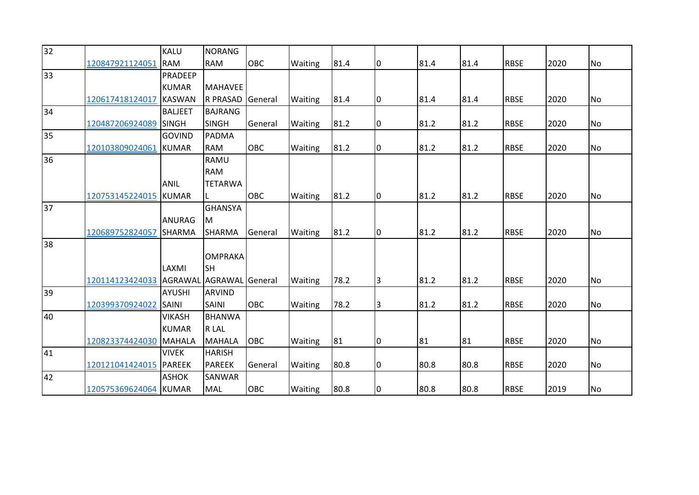| 32 |                       | <b>KALU</b>    | <b>NORANG</b>    |            |                |      |                |      |      |             |      |           |
|----|-----------------------|----------------|------------------|------------|----------------|------|----------------|------|------|-------------|------|-----------|
|    | 120847921124051       | <b>RAM</b>     | <b>RAM</b>       | OBC        | Waiting        | 81.4 | 0              | 81.4 | 81.4 | <b>RBSE</b> | 2020 | <b>No</b> |
| 33 |                       | PRADEEP        |                  |            |                |      |                |      |      |             |      |           |
|    |                       | <b>KUMAR</b>   | <b>MAHAVEE</b>   |            |                |      |                |      |      |             |      |           |
|    | 120617418124017       | <b>KASWAN</b>  | R PRASAD General |            | Waiting        | 81.4 | l0             | 81.4 | 81.4 | <b>RBSE</b> | 2020 | No        |
| 34 |                       | <b>BALJEET</b> | <b>BAJRANG</b>   |            |                |      |                |      |      |             |      |           |
|    | 120487206924089       | <b>SINGH</b>   | <b>SINGH</b>     | General    | <b>Waiting</b> | 81.2 | 0              | 81.2 | 81.2 | <b>RBSE</b> | 2020 | <b>No</b> |
| 35 |                       | <b>GOVIND</b>  | PADMA            |            |                |      |                |      |      |             |      |           |
|    | 120103809024061       | <b>KUMAR</b>   | <b>RAM</b>       | <b>OBC</b> | Waiting        | 81.2 | 0              | 81.2 | 81.2 | <b>RBSE</b> | 2020 | <b>No</b> |
| 36 |                       |                | <b>RAMU</b>      |            |                |      |                |      |      |             |      |           |
|    |                       |                | <b>RAM</b>       |            |                |      |                |      |      |             |      |           |
|    |                       | <b>ANIL</b>    | <b>TETARWA</b>   |            |                |      |                |      |      |             |      |           |
|    | 120753145224015       | <b>KUMAR</b>   |                  | <b>OBC</b> | <b>Waiting</b> | 81.2 | 10             | 81.2 | 81.2 | <b>RBSE</b> | 2020 | No        |
| 37 |                       |                | <b>GHANSYA</b>   |            |                |      |                |      |      |             |      |           |
|    |                       | <b>ANURAG</b>  | M                |            |                |      |                |      |      |             |      |           |
|    | 120689752824057       | SHARMA         | <b>SHARMA</b>    | General    | <b>Waiting</b> | 81.2 | l0             | 81.2 | 81.2 | <b>RBSE</b> | 2020 | <b>No</b> |
| 38 |                       |                |                  |            |                |      |                |      |      |             |      |           |
|    |                       |                | <b>OMPRAKA</b>   |            |                |      |                |      |      |             |      |           |
|    |                       | LAXMI          | lsн              |            |                |      |                |      |      |             |      |           |
|    | 120114123424033       | <b>AGRAWAL</b> | AGRAWAL General  |            | Waiting        | 78.2 | $\overline{3}$ | 81.2 | 81.2 | <b>RBSE</b> | 2020 | <b>No</b> |
| 39 |                       | <b>AYUSHI</b>  | <b>ARVIND</b>    |            |                |      |                |      |      |             |      |           |
|    | 120399370924022       | SAINI          | <b>SAINI</b>     | <b>OBC</b> | Waiting        | 78.2 | $\overline{3}$ | 81.2 | 81.2 | <b>RBSE</b> | 2020 | <b>No</b> |
| 40 |                       | <b>VIKASH</b>  | <b>BHANWA</b>    |            |                |      |                |      |      |             |      |           |
|    |                       | <b>KUMAR</b>   | R LAL            |            |                |      |                |      |      |             |      |           |
|    | 120823374424030       | <b>MAHALA</b>  | <b>MAHALA</b>    | <b>OBC</b> | <b>Waiting</b> | 81   | 0              | 81   | 81   | <b>RBSE</b> | 2020 | No        |
| 41 |                       | <b>VIVEK</b>   | <b>HARISH</b>    |            |                |      |                |      |      |             |      |           |
|    | 120121041424015       | <b>PAREEK</b>  | <b>PAREEK</b>    | General    | <b>Waiting</b> | 80.8 | 0              | 80.8 | 80.8 | <b>RBSE</b> | 2020 | <b>No</b> |
| 42 |                       | <b>ASHOK</b>   | SANWAR           |            |                |      |                |      |      |             |      |           |
|    | 120575369624064 KUMAR |                | MAL              | OBC        | Waiting        | 80.8 | 10             | 80.8 | 80.8 | <b>RBSE</b> | 2019 | <b>No</b> |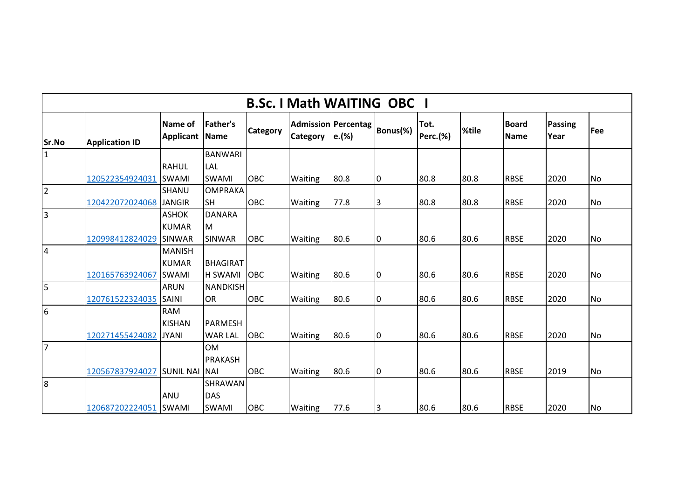|                | <b>B.Sc. I Math WAITING OBC I</b> |                       |                                |                 |                 |                                      |                |                         |       |                             |                        |           |  |  |
|----------------|-----------------------------------|-----------------------|--------------------------------|-----------------|-----------------|--------------------------------------|----------------|-------------------------|-------|-----------------------------|------------------------|-----------|--|--|
| Sr.No          | <b>Application ID</b>             | Name of<br>Applicant  | <b>Father's</b><br><b>Name</b> | <b>Category</b> | <b>Category</b> | <b>Admission Percentag</b><br> e.(%) | Bonus(%)       | Tot.<br><b>Perc.(%)</b> | %tile | <b>Board</b><br><b>Name</b> | <b>Passing</b><br>Year | Fee       |  |  |
| $\mathbf{1}$   |                                   |                       | <b>BANWARI</b>                 |                 |                 |                                      |                |                         |       |                             |                        |           |  |  |
|                |                                   | <b>RAHUL</b>          | LAL                            |                 |                 |                                      |                |                         |       |                             |                        |           |  |  |
|                | 120522354924031                   | <b>SWAMI</b>          | <b>SWAMI</b>                   | <b>OBC</b>      | Waiting         | 80.8                                 | 0              | 80.8                    | 80.8  | <b>RBSE</b>                 | 2020                   | No        |  |  |
| 2              |                                   | SHANU                 | <b>OMPRAKA</b>                 |                 |                 |                                      |                |                         |       |                             |                        |           |  |  |
|                | 120422072024068                   | <b>JANGIR</b>         | <b>SH</b>                      | <b>OBC</b>      | <b>Waiting</b>  | 77.8                                 | IЗ             | 80.8                    | 80.8  | <b>RBSE</b>                 | 2020                   | <b>No</b> |  |  |
| lз             |                                   | <b>ASHOK</b>          | <b>DANARA</b>                  |                 |                 |                                      |                |                         |       |                             |                        |           |  |  |
|                |                                   | <b>KUMAR</b>          | M                              |                 |                 |                                      |                |                         |       |                             |                        |           |  |  |
|                | 120998412824029                   | <b>SINWAR</b>         | <b>SINWAR</b>                  | <b>OBC</b>      | Waiting         | 80.6                                 | $\overline{0}$ | 80.6                    | 80.6  | <b>RBSE</b>                 | 2020                   | No        |  |  |
| $\overline{4}$ |                                   | <b>MANISH</b>         |                                |                 |                 |                                      |                |                         |       |                             |                        |           |  |  |
|                |                                   | <b>KUMAR</b>          | <b>BHAGIRAT</b>                |                 |                 |                                      |                |                         |       |                             |                        |           |  |  |
|                | 120165763924067                   | <b>SWAMI</b>          | <b>H SWAMI</b>                 | <b>OBC</b>      | Waiting         | 80.6                                 | 0              | 80.6                    | 80.6  | <b>RBSE</b>                 | 2020                   | <b>No</b> |  |  |
| l5             |                                   | <b>ARUN</b>           | <b>NANDKISH</b>                |                 |                 |                                      |                |                         |       |                             |                        |           |  |  |
|                | 120761522324035                   | <b>SAINI</b>          | <b>OR</b>                      | <b>OBC</b>      | Waiting         | 80.6                                 | 0              | 80.6                    | 80.6  | <b>RBSE</b>                 | 2020                   | No        |  |  |
| 6              |                                   | <b>RAM</b>            |                                |                 |                 |                                      |                |                         |       |                             |                        |           |  |  |
|                |                                   | <b>KISHAN</b>         | <b>PARMESH</b>                 |                 |                 |                                      |                |                         |       |                             |                        |           |  |  |
|                | 120271455424082                   | <b>JYANI</b>          | <b>WAR LAL</b>                 | <b>OBC</b>      | Waiting         | 80.6                                 | Iо             | 80.6                    | 80.6  | <b>RBSE</b>                 | 2020                   | <b>No</b> |  |  |
| 17             |                                   |                       | <b>OM</b>                      |                 |                 |                                      |                |                         |       |                             |                        |           |  |  |
|                |                                   |                       | <b>PRAKASH</b>                 |                 |                 |                                      |                |                         |       |                             |                        |           |  |  |
|                | 120567837924027                   | <b>SUNIL NAI INAI</b> |                                | <b>OBC</b>      | Waiting         | 80.6                                 | 10             | 80.6                    | 80.6  | <b>RBSE</b>                 | 2019                   | No        |  |  |
| 8              |                                   |                       | SHRAWAN                        |                 |                 |                                      |                |                         |       |                             |                        |           |  |  |
|                |                                   | <b>ANU</b>            | <b>DAS</b>                     |                 |                 |                                      |                |                         |       |                             |                        |           |  |  |
|                | 120687202224051                   | SWAMI                 | <b>SWAMI</b>                   | <b>OBC</b>      | <b>Waiting</b>  | 77.6                                 | 3              | 80.6                    | 80.6  | <b>RBSE</b>                 | 2020                   | <b>No</b> |  |  |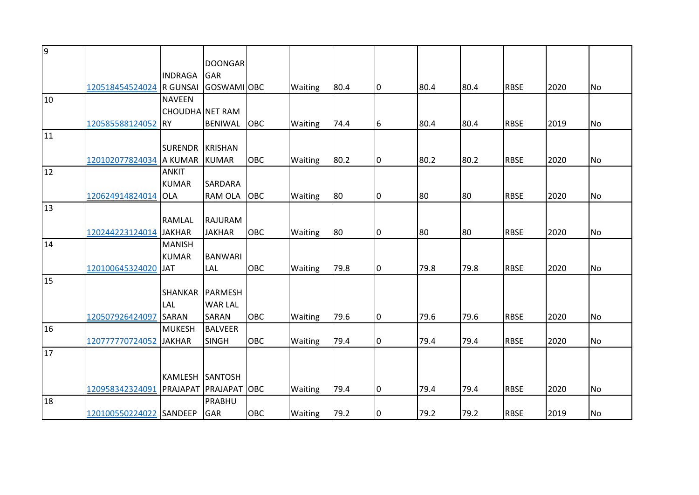| 9  |                          |                 |                     |            |                |      |    |      |      |             |      |           |
|----|--------------------------|-----------------|---------------------|------------|----------------|------|----|------|------|-------------|------|-----------|
|    |                          |                 | <b>DOONGAR</b>      |            |                |      |    |      |      |             |      |           |
|    |                          | <b>INDRAGA</b>  | GAR                 |            |                |      |    |      |      |             |      |           |
|    | 120518454524024 R GUNSAI |                 | <b>GOSWAMIOBC</b>   |            | Waiting        | 80.4 | I0 | 80.4 | 80.4 | <b>RBSE</b> | 2020 | <b>No</b> |
| 10 |                          | <b>NAVEEN</b>   |                     |            |                |      |    |      |      |             |      |           |
|    |                          | CHOUDHA NET RAM |                     |            |                |      |    |      |      |             |      |           |
|    | 120585588124052 RY       |                 | <b>BENIWAL</b>      | OBC        | Waiting        | 74.4 | 6  | 80.4 | 80.4 | <b>RBSE</b> | 2019 | No        |
| 11 |                          |                 |                     |            |                |      |    |      |      |             |      |           |
|    |                          | <b>SURENDR</b>  | <b>KRISHAN</b>      |            |                |      |    |      |      |             |      |           |
|    | 120102077824034 A KUMAR  |                 | <b>KUMAR</b>        | OBC        | Waiting        | 80.2 | 0  | 80.2 | 80.2 | <b>RBSE</b> | 2020 | <b>No</b> |
| 12 |                          | <b>ANKIT</b>    |                     |            |                |      |    |      |      |             |      |           |
|    |                          | <b>KUMAR</b>    | <b>SARDARA</b>      |            |                |      |    |      |      |             |      |           |
|    | 120624914824014 OLA      |                 | RAM OLA             | <b>OBC</b> | <b>Waiting</b> | 80   | 10 | 180  | 80   | <b>RBSE</b> | 2020 | No        |
| 13 |                          |                 |                     |            |                |      |    |      |      |             |      |           |
|    |                          | <b>RAMLAL</b>   | RAJURAM             |            |                |      |    |      |      |             |      |           |
|    | 120244223124014          | <b>JAKHAR</b>   | <b>JAKHAR</b>       | OBC        | Waiting        | 80   | 0  | 80   | 80   | <b>RBSE</b> | 2020 | <b>No</b> |
| 14 |                          | <b>MANISH</b>   |                     |            |                |      |    |      |      |             |      |           |
|    |                          | <b>KUMAR</b>    | <b>BANWARI</b>      |            |                |      |    |      |      |             |      |           |
|    | 120100645324020          | <b>JAT</b>      | <b>LAL</b>          | OBC        | Waiting        | 79.8 | l0 | 79.8 | 79.8 | <b>RBSE</b> | 2020 | <b>No</b> |
| 15 |                          |                 |                     |            |                |      |    |      |      |             |      |           |
|    |                          | <b>SHANKAR</b>  | PARMESH             |            |                |      |    |      |      |             |      |           |
|    |                          | LAL             | <b>WAR LAL</b>      |            |                |      |    |      |      |             |      |           |
|    | 120507926424097          | <b>SARAN</b>    | <b>SARAN</b>        | OBC        | Waiting        | 79.6 | 0  | 79.6 | 79.6 | <b>RBSE</b> | 2020 | No        |
| 16 |                          | <b>MUKESH</b>   | <b>BALVEER</b>      |            |                |      |    |      |      |             |      |           |
|    | 120777770724052          | <b>JAKHAR</b>   | <b>SINGH</b>        | OBC        | Waiting        | 79.4 | 0  | 79.4 | 79.4 | <b>RBSE</b> | 2020 | <b>No</b> |
| 17 |                          |                 |                     |            |                |      |    |      |      |             |      |           |
|    |                          |                 |                     |            |                |      |    |      |      |             |      |           |
|    |                          | KAMLESH         | <b>SANTOSH</b>      |            |                |      |    |      |      |             |      |           |
|    | 120958342324091 PRAJAPAT |                 | <b>PRAJAPAT OBC</b> |            | Waiting        | 79.4 | l0 | 79.4 | 79.4 | <b>RBSE</b> | 2020 | <b>No</b> |
| 18 |                          |                 | PRABHU              |            |                |      |    |      |      |             |      |           |
|    | 120100550224022 SANDEEP  |                 | <b>GAR</b>          | OBC        | Waiting        | 79.2 | 0  | 79.2 | 79.2 | <b>RBSE</b> | 2019 | <b>No</b> |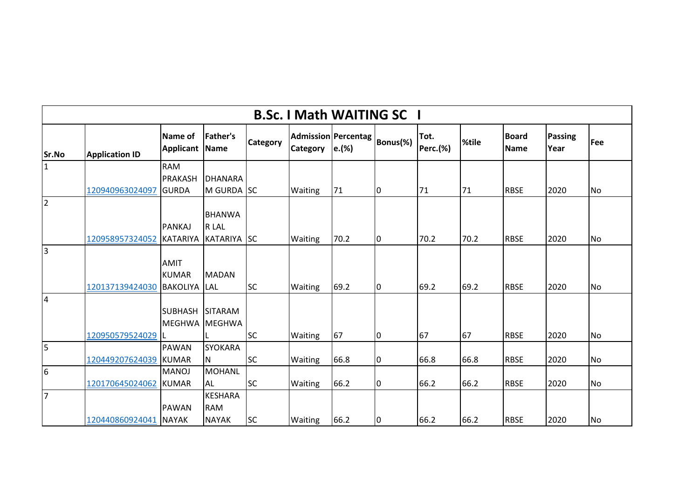|                         |                       |                                 |                                |                 | <b>B.Sc. I Math WAITING SC I</b> |                                      |          |                  |       |                      |                        |           |
|-------------------------|-----------------------|---------------------------------|--------------------------------|-----------------|----------------------------------|--------------------------------------|----------|------------------|-------|----------------------|------------------------|-----------|
| Sr.No                   | <b>Application ID</b> | Name of<br><b>Applicant</b>     | <b>Father's</b><br><b>Name</b> | <b>Category</b> | <b>Category</b>                  | <b>Admission Percentag</b><br> e.(%) | Bonus(%) | Tot.<br>Perc.(%) | %tile | <b>Board</b><br>Name | <b>Passing</b><br>Year | Fee       |
| $\mathbf{1}$            |                       | <b>RAM</b>                      |                                |                 |                                  |                                      |          |                  |       |                      |                        |           |
|                         |                       | <b>PRAKASH</b>                  | <b>DHANARA</b>                 |                 |                                  |                                      |          |                  |       |                      |                        |           |
|                         | 120940963024097       | <b>GURDA</b>                    | M GURDA SC                     |                 | <b>Waiting</b>                   | 71                                   | 10       | 71               | 71    | <b>RBSE</b>          | 2020                   | No        |
| $\overline{2}$          |                       |                                 |                                |                 |                                  |                                      |          |                  |       |                      |                        |           |
|                         |                       |                                 | <b>BHANWA</b>                  |                 |                                  |                                      |          |                  |       |                      |                        |           |
|                         |                       | PANKAJ                          | R LAL                          |                 |                                  |                                      |          |                  |       |                      |                        |           |
|                         | 120958957324052       | <b>KATARIYA</b>                 | KATARIYA SC                    |                 | <b>Waiting</b>                   | 70.2                                 | l0       | 70.2             | 70.2  | <b>RBSE</b>          | 2020                   | No        |
| 3                       |                       |                                 |                                |                 |                                  |                                      |          |                  |       |                      |                        |           |
|                         |                       | <b>AMIT</b>                     |                                |                 |                                  |                                      |          |                  |       |                      |                        |           |
|                         | 120137139424030       | <b>KUMAR</b><br><b>BAKOLIYA</b> | <b>MADAN</b>                   | <b>SC</b>       |                                  | 69.2                                 | l0       | 69.2             | 69.2  | <b>RBSE</b>          | 2020                   |           |
| $\overline{4}$          |                       |                                 | <b>LAL</b>                     |                 | <b>Waiting</b>                   |                                      |          |                  |       |                      |                        | No        |
|                         |                       | <b>SUBHASH</b>                  | <b>SITARAM</b>                 |                 |                                  |                                      |          |                  |       |                      |                        |           |
|                         |                       | <b>MEGHWA</b>                   | <b>MEGHWA</b>                  |                 |                                  |                                      |          |                  |       |                      |                        |           |
|                         | 120950579524029       |                                 |                                | <b>SC</b>       | <b>Waiting</b>                   | 67                                   | 10       | 67               | 67    | <b>RBSE</b>          | 2020                   | No        |
| $\overline{\mathbf{5}}$ |                       | <b>PAWAN</b>                    | <b>SYOKARA</b>                 |                 |                                  |                                      |          |                  |       |                      |                        |           |
|                         | 120449207624039       | <b>KUMAR</b>                    | IN.                            | <b>SC</b>       | <b>Waiting</b>                   | 66.8                                 | 0        | 66.8             | 66.8  | <b>RBSE</b>          | 2020                   | No        |
| $6\overline{6}$         |                       | <b>MANOJ</b>                    | <b>MOHANL</b>                  |                 |                                  |                                      |          |                  |       |                      |                        |           |
|                         | 120170645024062       | <b>KUMAR</b>                    | AL.                            | <b>SC</b>       | Waiting                          | 66.2                                 | 0        | 66.2             | 66.2  | <b>RBSE</b>          | 2020                   | <b>No</b> |
| $\overline{7}$          |                       |                                 | <b>KESHARA</b>                 |                 |                                  |                                      |          |                  |       |                      |                        |           |
|                         |                       | <b>PAWAN</b>                    | <b>RAM</b>                     |                 |                                  |                                      |          |                  |       |                      |                        |           |
|                         | 120440860924041       | <b>NAYAK</b>                    | <b>NAYAK</b>                   | <b>SC</b>       | Waiting                          | 66.2                                 | 10       | 66.2             | 66.2  | <b>RBSE</b>          | 2020                   | No        |